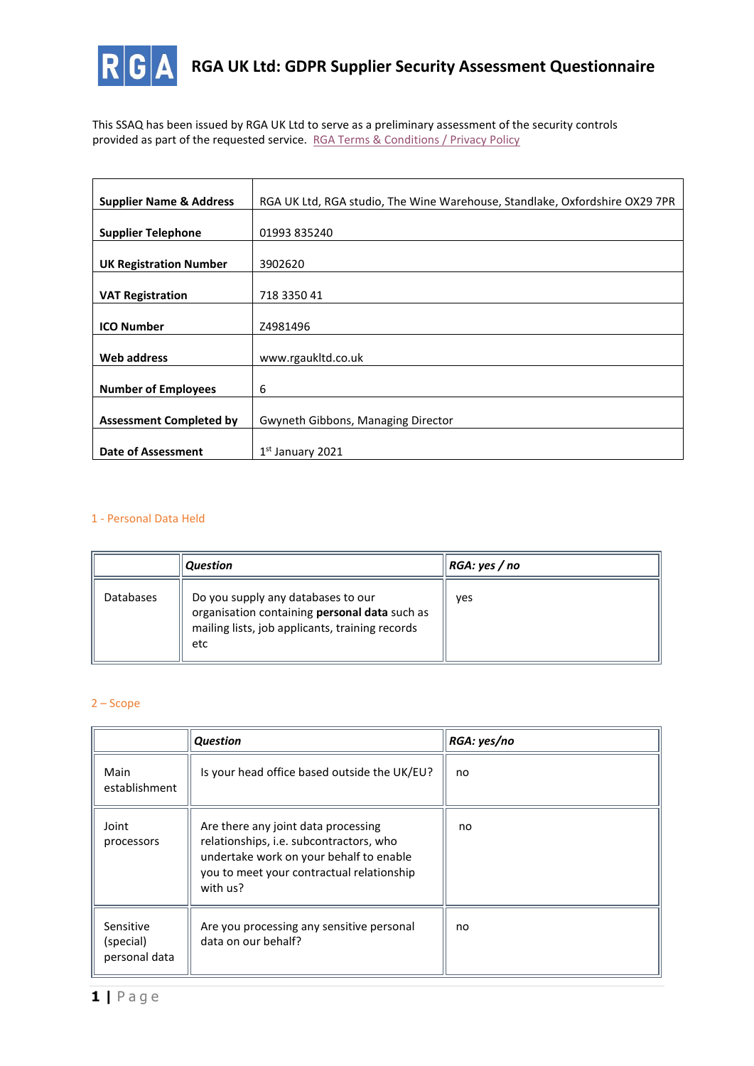

**RGA UK Ltd: GDPR Supplier Security Assessment Questionnaire** 

This SSAQ has been issued by RGA UK Ltd to serve as a preliminary assessment of the security controls provided as part of the requested service. [RGA Terms & Conditions / Privacy Policy](https://rgaukltd.co.uk/rgagate.php?id=5)

| <b>Supplier Name &amp; Address</b> | RGA UK Ltd, RGA studio, The Wine Warehouse, Standlake, Oxfordshire OX29 7PR |  |  |
|------------------------------------|-----------------------------------------------------------------------------|--|--|
|                                    |                                                                             |  |  |
| <b>Supplier Telephone</b>          | 01993 835240                                                                |  |  |
|                                    |                                                                             |  |  |
| <b>UK Registration Number</b>      | 3902620                                                                     |  |  |
|                                    |                                                                             |  |  |
| <b>VAT Registration</b>            | 718 3350 41                                                                 |  |  |
|                                    |                                                                             |  |  |
| <b>ICO Number</b>                  | Z4981496                                                                    |  |  |
|                                    |                                                                             |  |  |
| <b>Web address</b>                 | www.rgaukltd.co.uk                                                          |  |  |
|                                    |                                                                             |  |  |
| <b>Number of Employees</b>         | 6                                                                           |  |  |
|                                    |                                                                             |  |  |
| <b>Assessment Completed by</b>     | Gwyneth Gibbons, Managing Director                                          |  |  |
|                                    |                                                                             |  |  |
| Date of Assessment                 | $1st$ January 2021                                                          |  |  |

# 1 - Personal Data Held

|           | <b>Question</b>                                                                                                                               | RGA: yes / no |
|-----------|-----------------------------------------------------------------------------------------------------------------------------------------------|---------------|
| Databases | Do you supply any databases to our<br>organisation containing personal data such as<br>mailing lists, job applicants, training records<br>etc | ves           |

### 2 – Scope

|                                         | <b>Question</b>                                                                                                                                                                    | RGA: yes/no |
|-----------------------------------------|------------------------------------------------------------------------------------------------------------------------------------------------------------------------------------|-------------|
| Main<br>establishment                   | Is your head office based outside the UK/EU?                                                                                                                                       | no          |
| Joint<br>processors                     | Are there any joint data processing<br>relationships, i.e. subcontractors, who<br>undertake work on your behalf to enable<br>you to meet your contractual relationship<br>with us? | no          |
| Sensitive<br>(special)<br>personal data | Are you processing any sensitive personal<br>data on our behalf?                                                                                                                   | no          |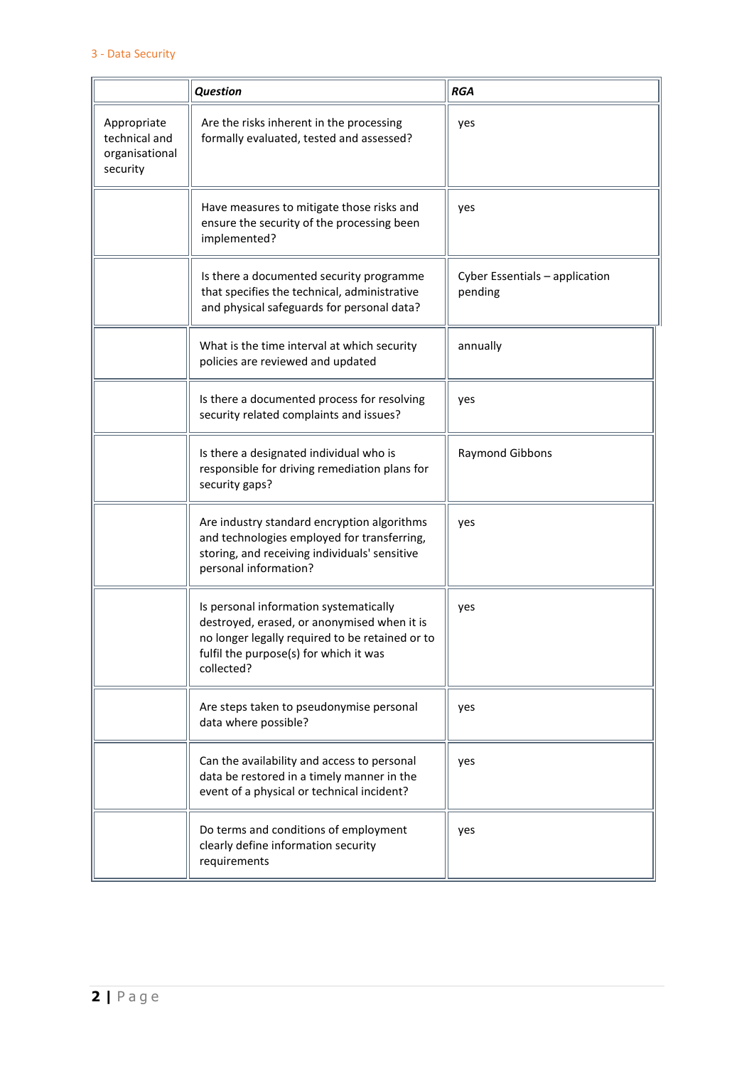|                                                            | <b>Question</b>                                                                                                                                                                                  | <b>RGA</b>                                |
|------------------------------------------------------------|--------------------------------------------------------------------------------------------------------------------------------------------------------------------------------------------------|-------------------------------------------|
| Appropriate<br>technical and<br>organisational<br>security | Are the risks inherent in the processing<br>formally evaluated, tested and assessed?                                                                                                             | yes                                       |
|                                                            | Have measures to mitigate those risks and<br>ensure the security of the processing been<br>implemented?                                                                                          | yes                                       |
|                                                            | Is there a documented security programme<br>that specifies the technical, administrative<br>and physical safeguards for personal data?                                                           | Cyber Essentials - application<br>pending |
|                                                            | What is the time interval at which security<br>policies are reviewed and updated                                                                                                                 | annually                                  |
|                                                            | Is there a documented process for resolving<br>security related complaints and issues?                                                                                                           | yes                                       |
|                                                            | Is there a designated individual who is<br>responsible for driving remediation plans for<br>security gaps?                                                                                       | Raymond Gibbons                           |
|                                                            | Are industry standard encryption algorithms<br>and technologies employed for transferring,<br>storing, and receiving individuals' sensitive<br>personal information?                             | yes                                       |
|                                                            | Is personal information systematically<br>destroyed, erased, or anonymised when it is<br>no longer legally required to be retained or to<br>fulfil the purpose(s) for which it was<br>collected? | yes                                       |
|                                                            | Are steps taken to pseudonymise personal<br>data where possible?                                                                                                                                 | yes                                       |
|                                                            | Can the availability and access to personal<br>data be restored in a timely manner in the<br>event of a physical or technical incident?                                                          | yes                                       |
|                                                            | Do terms and conditions of employment<br>clearly define information security<br>requirements                                                                                                     | yes                                       |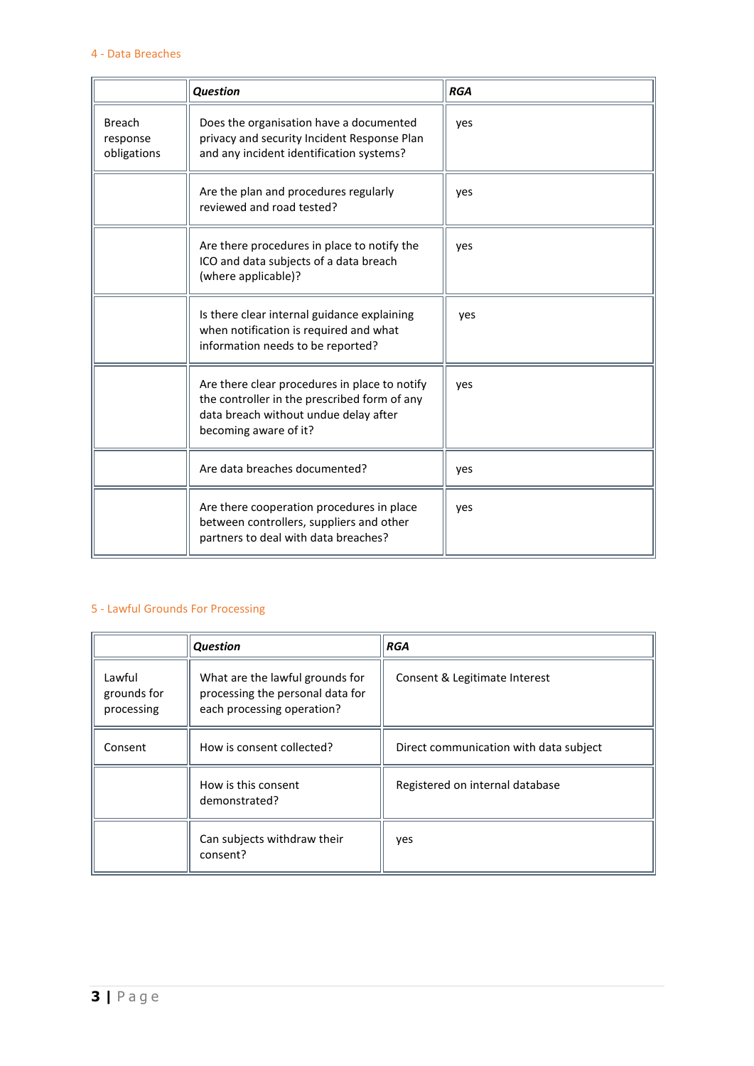|                                          | <b>Question</b>                                                                                                                                                 | <b>RGA</b> |
|------------------------------------------|-----------------------------------------------------------------------------------------------------------------------------------------------------------------|------------|
| <b>Breach</b><br>response<br>obligations | Does the organisation have a documented<br>privacy and security Incident Response Plan<br>and any incident identification systems?                              | yes        |
|                                          | Are the plan and procedures regularly<br>reviewed and road tested?                                                                                              | yes        |
|                                          | Are there procedures in place to notify the<br>ICO and data subjects of a data breach<br>(where applicable)?                                                    | yes        |
|                                          | Is there clear internal guidance explaining<br>when notification is required and what<br>information needs to be reported?                                      | yes        |
|                                          | Are there clear procedures in place to notify<br>the controller in the prescribed form of any<br>data breach without undue delay after<br>becoming aware of it? | yes        |
|                                          | Are data breaches documented?                                                                                                                                   | yes        |
|                                          | Are there cooperation procedures in place<br>between controllers, suppliers and other<br>partners to deal with data breaches?                                   | yes        |

### 5 - Lawful Grounds For Processing

|                                     | <b>Question</b>                                                                                   | <b>RGA</b>                             |
|-------------------------------------|---------------------------------------------------------------------------------------------------|----------------------------------------|
| Lawful<br>grounds for<br>processing | What are the lawful grounds for<br>processing the personal data for<br>each processing operation? | Consent & Legitimate Interest          |
| Consent                             | How is consent collected?                                                                         | Direct communication with data subject |
|                                     | How is this consent<br>demonstrated?                                                              | Registered on internal database        |
|                                     | Can subjects withdraw their<br>consent?                                                           | yes                                    |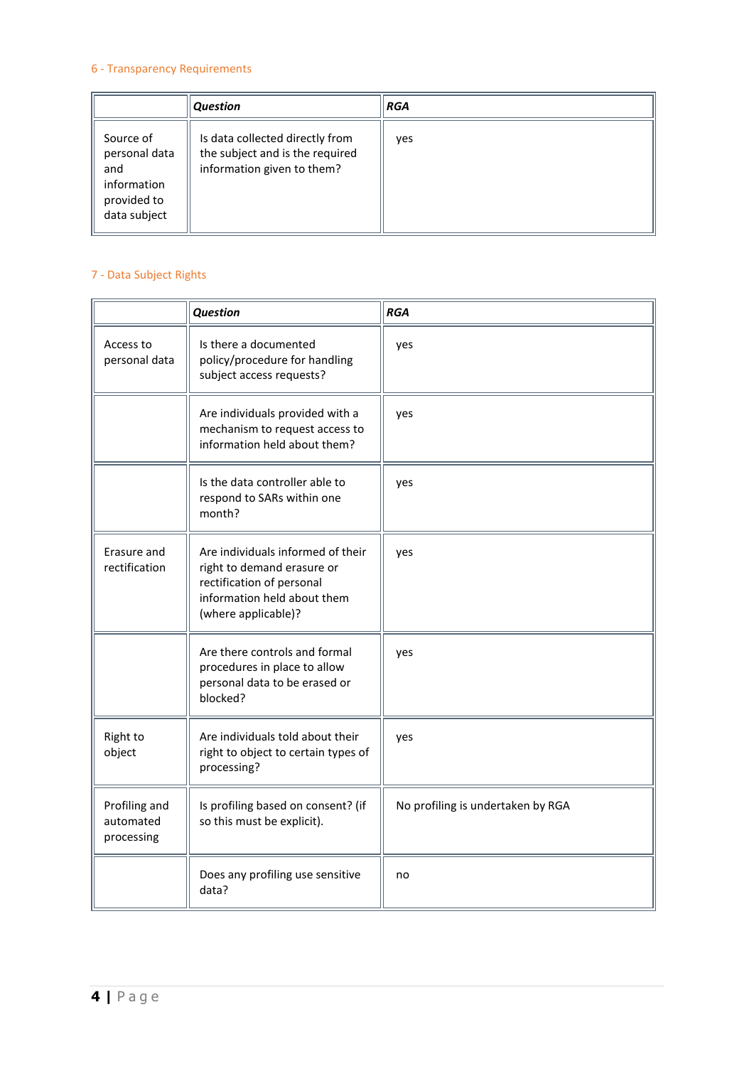# 6 - Transparency Requirements

|                                                                                 | <b>Question</b>                                                                                  | <b>RGA</b> |
|---------------------------------------------------------------------------------|--------------------------------------------------------------------------------------------------|------------|
| Source of<br>personal data<br>and<br>information<br>provided to<br>data subject | Is data collected directly from<br>the subject and is the required<br>information given to them? | yes        |

# 7 - Data Subject Rights

|                                          | <b>Question</b>                                                                                                                                    | <b>RGA</b>                        |
|------------------------------------------|----------------------------------------------------------------------------------------------------------------------------------------------------|-----------------------------------|
| Access to<br>personal data               | Is there a documented<br>policy/procedure for handling<br>subject access requests?                                                                 | yes                               |
|                                          | Are individuals provided with a<br>mechanism to request access to<br>information held about them?                                                  | yes                               |
|                                          | Is the data controller able to<br>respond to SARs within one<br>month?                                                                             | yes                               |
| Erasure and<br>rectification             | Are individuals informed of their<br>right to demand erasure or<br>rectification of personal<br>information held about them<br>(where applicable)? | yes                               |
|                                          | Are there controls and formal<br>procedures in place to allow<br>personal data to be erased or<br>blocked?                                         | yes                               |
| Right to<br>object                       | Are individuals told about their<br>right to object to certain types of<br>processing?                                                             | yes                               |
| Profiling and<br>automated<br>processing | Is profiling based on consent? (if<br>so this must be explicit).                                                                                   | No profiling is undertaken by RGA |
|                                          | Does any profiling use sensitive<br>data?                                                                                                          | no                                |